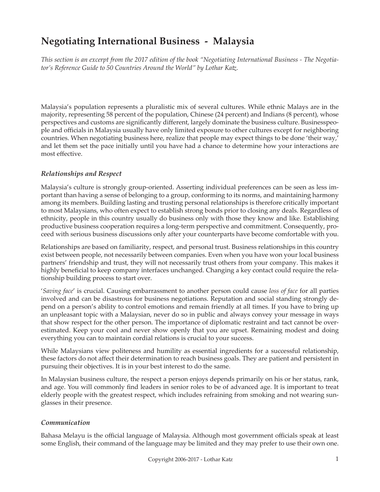# **Negotiating International Business - Malaysia**

*This section is an excerpt from the 2017 edition of the book "Negotiating International Business - The Negotiator's Reference Guide to 50 Countries Around the World" by Lothar Katz.*

Malaysia's population represents a pluralistic mix of several cultures. While ethnic Malays are in the majority, representing 58 percent of the population, Chinese (24 percent) and Indians (8 percent), whose perspectives and customs are significantly different, largely dominate the business culture. Businesspeople and officials in Malaysia usually have only limited exposure to other cultures except for neighboring countries. When negotiating business here, realize that people may expect things to be done 'their way,' and let them set the pace initially until you have had a chance to determine how your interactions are most effective.

#### *Relationships and Respect*

Malaysia's culture is strongly group-oriented. Asserting individual preferences can be seen as less important than having a sense of belonging to a group, conforming to its norms, and maintaining harmony among its members. Building lasting and trusting personal relationships is therefore critically important to most Malaysians, who often expect to establish strong bonds prior to closing any deals. Regardless of ethnicity, people in this country usually do business only with those they know and like. Establishing productive business cooperation requires a long-term perspective and commitment. Consequently, proceed with serious business discussions only after your counterparts have become comfortable with you.

Relationships are based on familiarity, respect, and personal trust. Business relationships in this country exist between people, not necessarily between companies. Even when you have won your local business partners' friendship and trust, they will not necessarily trust others from your company. This makes it highly beneficial to keep company interfaces unchanged. Changing a key contact could require the relationship building process to start over.

'*Saving face*' is crucial. Causing embarrassment to another person could cause *loss of face* for all parties involved and can be disastrous for business negotiations. Reputation and social standing strongly depend on a person's ability to control emotions and remain friendly at all times. If you have to bring up an unpleasant topic with a Malaysian, never do so in public and always convey your message in ways that show respect for the other person. The importance of diplomatic restraint and tact cannot be overestimated. Keep your cool and never show openly that you are upset. Remaining modest and doing everything you can to maintain cordial relations is crucial to your success.

While Malaysians view politeness and humility as essential ingredients for a successful relationship, these factors do not affect their determination to reach business goals. They are patient and persistent in pursuing their objectives. It is in your best interest to do the same.

In Malaysian business culture, the respect a person enjoys depends primarily on his or her status, rank, and age. You will commonly find leaders in senior roles to be of advanced age. It is important to treat elderly people with the greatest respect, which includes refraining from smoking and not wearing sunglasses in their presence.

#### *Communication*

Bahasa Melayu is the official language of Malaysia. Although most government officials speak at least some English, their command of the language may be limited and they may prefer to use their own one.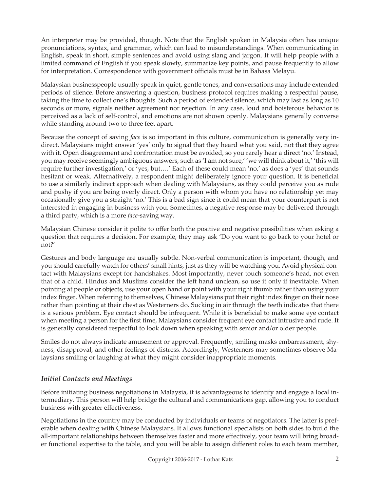An interpreter may be provided, though. Note that the English spoken in Malaysia often has unique pronunciations, syntax, and grammar, which can lead to misunderstandings. When communicating in English, speak in short, simple sentences and avoid using slang and jargon. It will help people with a limited command of English if you speak slowly, summarize key points, and pause frequently to allow for interpretation. Correspondence with government officials must be in Bahasa Melayu.

Malaysian businesspeople usually speak in quiet, gentle tones, and conversations may include extended periods of silence. Before answering a question, business protocol requires making a respectful pause, taking the time to collect one's thoughts. Such a period of extended silence, which may last as long as 10 seconds or more, signals neither agreement nor rejection. In any case, loud and boisterous behavior is perceived as a lack of self-control, and emotions are not shown openly. Malaysians generally converse while standing around two to three feet apart.

Because the concept of saving *face* is so important in this culture, communication is generally very indirect. Malaysians might answer 'yes' only to signal that they heard what you said, not that they agree with it. Open disagreement and confrontation must be avoided, so you rarely hear a direct 'no.' Instead, you may receive seemingly ambiguous answers, such as 'I am not sure,' 'we will think about it,' 'this will require further investigation,' or 'yes, but….' Each of these could mean 'no,' as does a 'yes' that sounds hesitant or weak. Alternatively, a respondent might deliberately ignore your question. It is beneficial to use a similarly indirect approach when dealing with Malaysians, as they could perceive you as rude and pushy if you are being overly direct. Only a person with whom you have no relationship yet may occasionally give you a straight 'no.' This is a bad sign since it could mean that your counterpart is not interested in engaging in business with you. Sometimes, a negative response may be delivered through a third party, which is a more *face*-saving way.

Malaysian Chinese consider it polite to offer both the positive and negative possibilities when asking a question that requires a decision. For example, they may ask 'Do you want to go back to your hotel or not?'

Gestures and body language are usually subtle. Non-verbal communication is important, though, and you should carefully watch for others' small hints, just as they will be watching you. Avoid physical contact with Malaysians except for handshakes. Most importantly, never touch someone's head, not even that of a child. Hindus and Muslims consider the left hand unclean, so use it only if inevitable. When pointing at people or objects, use your open hand or point with your right thumb rather than using your index finger. When referring to themselves, Chinese Malaysians put their right index finger on their nose rather than pointing at their chest as Westerners do. Sucking in air through the teeth indicates that there is a serious problem. Eye contact should be infrequent. While it is beneficial to make some eye contact when meeting a person for the first time, Malaysians consider frequent eye contact intrusive and rude. It is generally considered respectful to look down when speaking with senior and/or older people.

Smiles do not always indicate amusement or approval. Frequently, smiling masks embarrassment, shyness, disapproval, and other feelings of distress. Accordingly, Westerners may sometimes observe Malaysians smiling or laughing at what they might consider inappropriate moments.

## *Initial Contacts and Meetings*

Before initiating business negotiations in Malaysia, it is advantageous to identify and engage a local intermediary. This person will help bridge the cultural and communications gap, allowing you to conduct business with greater effectiveness.

Negotiations in the country may be conducted by individuals or teams of negotiators. The latter is preferable when dealing with Chinese Malaysians. It allows functional specialists on both sides to build the all-important relationships between themselves faster and more effectively, your team will bring broader functional expertise to the table, and you will be able to assign different roles to each team member,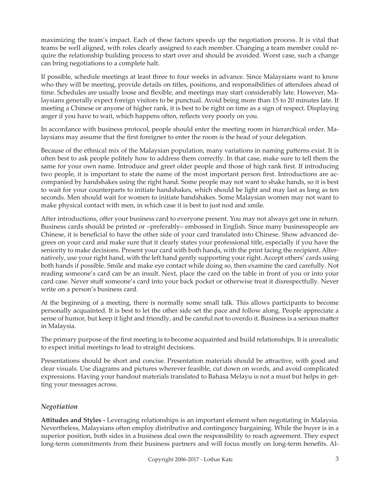maximizing the team's impact. Each of these factors speeds up the negotiation process. It is vital that teams be well aligned, with roles clearly assigned to each member. Changing a team member could require the relationship building process to start over and should be avoided. Worst case, such a change can bring negotiations to a complete halt.

If possible, schedule meetings at least three to four weeks in advance. Since Malaysians want to know who they will be meeting, provide details on titles, positions, and responsibilities of attendees ahead of time. Schedules are usually loose and flexible, and meetings may start considerably late. However, Malaysians generally expect foreign visitors to be punctual. Avoid being more than 15 to 20 minutes late. If meeting a Chinese or anyone of higher rank, it is best to be right on time as a sign of respect. Displaying anger if you have to wait, which happens often, reflects very poorly on you.

In accordance with business protocol, people should enter the meeting room in hierarchical order. Malaysians may assume that the first foreigner to enter the room is the head of your delegation.

Because of the ethnical mix of the Malaysian population, many variations in naming patterns exist. It is often best to ask people politely how to address them correctly. In that case, make sure to tell them the same for your own name. Introduce and greet older people and those of high rank first. If introducing two people, it is important to state the name of the most important person first. Introductions are accompanied by handshakes using the right hand. Some people may not want to shake hands, so it is best to wait for your counterparts to initiate handshakes, which should be light and may last as long as ten seconds. Men should wait for women to initiate handshakes. Some Malaysian women may not want to make physical contact with men, in which case it is best to just nod and smile.

After introductions, offer your business card to everyone present. You may not always get one in return. Business cards should be printed or –preferably– embossed in English. Since many businesspeople are Chinese, it is beneficial to have the other side of your card translated into Chinese. Show advanced degrees on your card and make sure that it clearly states your professional title, especially if you have the seniority to make decisions. Present your card with both hands, with the print facing the recipient. Alternatively, use your right hand, with the left hand gently supporting your right. Accept others' cards using both hands if possible. Smile and make eye contact while doing so, then examine the card carefully. Not reading someone's card can be an insult. Next, place the card on the table in front of you or into your card case. Never stuff someone's card into your back pocket or otherwise treat it disrespectfully. Never write on a person's business card.

At the beginning of a meeting, there is normally some small talk. This allows participants to become personally acquainted. It is best to let the other side set the pace and follow along. People appreciate a sense of humor, but keep it light and friendly, and be careful not to overdo it. Business is a serious matter in Malaysia.

The primary purpose of the first meeting is to become acquainted and build relationships. It is unrealistic to expect initial meetings to lead to straight decisions.

Presentations should be short and concise. Presentation materials should be attractive, with good and clear visuals. Use diagrams and pictures wherever feasible, cut down on words, and avoid complicated expressions. Having your handout materials translated to Bahasa Melayu is not a must but helps in getting your messages across.

## *Negotiation*

**Attitudes and Styles -** Leveraging relationships is an important element when negotiating in Malaysia. Nevertheless, Malaysians often employ distributive and contingency bargaining. While the buyer is in a superior position, both sides in a business deal own the responsibility to reach agreement. They expect long-term commitments from their business partners and will focus mostly on long-term benefits. Al-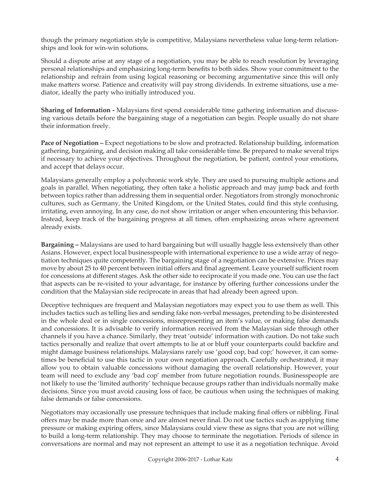though the primary negotiation style is competitive, Malaysians nevertheless value long-term relationships and look for win-win solutions.

Should a dispute arise at any stage of a negotiation, you may be able to reach resolution by leveraging personal relationships and emphasizing long-term benefits to both sides. Show your commitment to the relationship and refrain from using logical reasoning or becoming argumentative since this will only make matters worse. Patience and creativity will pay strong dividends. In extreme situations, use a mediator, ideally the party who initially introduced you.

**Sharing of Information -** Malaysians first spend considerable time gathering information and discussing various details before the bargaining stage of a negotiation can begin. People usually do not share their information freely.

**Pace of Negotiation –** Expect negotiations to be slow and protracted. Relationship building, information gathering, bargaining, and decision making all take considerable time. Be prepared to make several trips if necessary to achieve your objectives. Throughout the negotiation, be patient, control your emotions, and accept that delays occur.

Malaysians generally employ a polychronic work style. They are used to pursuing multiple actions and goals in parallel. When negotiating, they often take a holistic approach and may jump back and forth between topics rather than addressing them in sequential order. Negotiators from strongly monochronic cultures, such as Germany, the United Kingdom, or the United States, could find this style confusing, irritating, even annoying. In any case, do not show irritation or anger when encountering this behavior. Instead, keep track of the bargaining progress at all times, often emphasizing areas where agreement already exists.

**Bargaining –** Malaysians are used to hard bargaining but will usually haggle less extensively than other Asians. However, expect local businesspeople with international experience to use a wide array of negotiation techniques quite competently. The bargaining stage of a negotiation can be extensive. Prices may move by about 25 to 40 percent between initial offers and final agreement. Leave yourself sufficient room for concessions at different stages. Ask the other side to reciprocate if you made one. You can use the fact that aspects can be re-visited to your advantage, for instance by offering further concessions under the condition that the Malaysian side reciprocate in areas that had already been agreed upon.

Deceptive techniques are frequent and Malaysian negotiators may expect you to use them as well. This includes tactics such as telling lies and sending fake non-verbal messages, pretending to be disinterested in the whole deal or in single concessions, misrepresenting an item's value, or making false demands and concessions. It is advisable to verify information received from the Malaysian side through other channels if you have a chance. Similarly, they treat 'outside' information with caution. Do not take such tactics personally and realize that overt attempts to lie at or bluff your counterparts could backfire and might damage business relationships. Malaysians rarely use 'good cop, bad cop;' however, it can sometimes be beneficial to use this tactic in your own negotiation approach. Carefully orchestrated, it may allow you to obtain valuable concessions without damaging the overall relationship. However, your team will need to exclude any 'bad cop' member from future negotiation rounds. Businesspeople are not likely to use the 'limited authority' technique because groups rather than individuals normally make decisions. Since you must avoid causing loss of face, be cautious when using the techniques of making false demands or false concessions.

Negotiators may occasionally use pressure techniques that include making final offers or nibbling. Final offers may be made more than once and are almost never final. Do not use tactics such as applying time pressure or making expiring offers, since Malaysians could view these as signs that you are not willing to build a long-term relationship. They may choose to terminate the negotiation. Periods of silence in conversations are normal and may not represent an attempt to use it as a negotiation technique. Avoid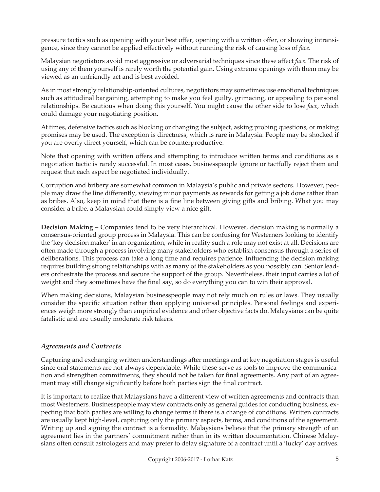pressure tactics such as opening with your best offer, opening with a written offer, or showing intransigence, since they cannot be applied effectively without running the risk of causing loss of *face*.

Malaysian negotiators avoid most aggressive or adversarial techniques since these affect *face*. The risk of using any of them yourself is rarely worth the potential gain. Using extreme openings with them may be viewed as an unfriendly act and is best avoided.

As in most strongly relationship-oriented cultures, negotiators may sometimes use emotional techniques such as attitudinal bargaining, attempting to make you feel guilty, grimacing, or appealing to personal relationships. Be cautious when doing this yourself. You might cause the other side to lose *face*, which could damage your negotiating position.

At times, defensive tactics such as blocking or changing the subject, asking probing questions, or making promises may be used. The exception is directness, which is rare in Malaysia. People may be shocked if you are overly direct yourself, which can be counterproductive.

Note that opening with written offers and attempting to introduce written terms and conditions as a negotiation tactic is rarely successful. In most cases, businesspeople ignore or tactfully reject them and request that each aspect be negotiated individually.

Corruption and bribery are somewhat common in Malaysia's public and private sectors. However, people may draw the line differently, viewing minor payments as rewards for getting a job done rather than as bribes. Also, keep in mind that there is a fine line between giving gifts and bribing. What you may consider a bribe, a Malaysian could simply view a nice gift.

**Decision Making –** Companies tend to be very hierarchical. However, decision making is normally a consensus-oriented group process in Malaysia. This can be confusing for Westerners looking to identify the 'key decision maker' in an organization, while in reality such a role may not exist at all. Decisions are often made through a process involving many stakeholders who establish consensus through a series of deliberations. This process can take a long time and requires patience. Influencing the decision making requires building strong relationships with as many of the stakeholders as you possibly can. Senior leaders orchestrate the process and secure the support of the group. Nevertheless, their input carries a lot of weight and they sometimes have the final say, so do everything you can to win their approval.

When making decisions, Malaysian businesspeople may not rely much on rules or laws. They usually consider the specific situation rather than applying universal principles. Personal feelings and experiences weigh more strongly than empirical evidence and other objective facts do. Malaysians can be quite fatalistic and are usually moderate risk takers.

## *Agreements and Contracts*

Capturing and exchanging written understandings after meetings and at key negotiation stages is useful since oral statements are not always dependable. While these serve as tools to improve the communication and strengthen commitments, they should not be taken for final agreements. Any part of an agreement may still change significantly before both parties sign the final contract.

It is important to realize that Malaysians have a different view of written agreements and contracts than most Westerners. Businesspeople may view contracts only as general guides for conducting business, expecting that both parties are willing to change terms if there is a change of conditions. Written contracts are usually kept high-level, capturing only the primary aspects, terms, and conditions of the agreement. Writing up and signing the contract is a formality. Malaysians believe that the primary strength of an agreement lies in the partners' commitment rather than in its written documentation. Chinese Malaysians often consult astrologers and may prefer to delay signature of a contract until a 'lucky' day arrives.